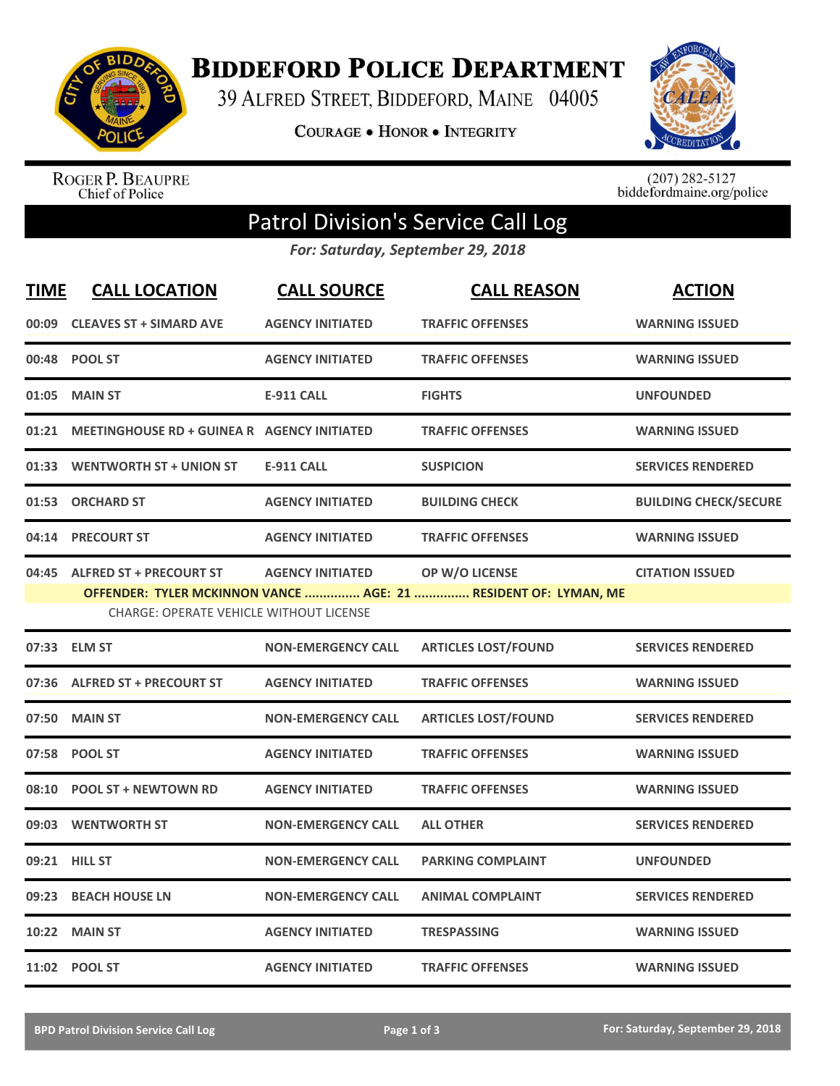

**BIDDEFORD POLICE DEPARTMENT** 

39 ALFRED STREET, BIDDEFORD, MAINE 04005

**COURAGE . HONOR . INTEGRITY** 



ROGER P. BEAUPRE<br>Chief of Police

 $(207)$  282-5127<br>biddefordmaine.org/police

## Patrol Division's Service Call Log

*For: Saturday, September 29, 2018*

| <u>TIME</u> | <b>CALL LOCATION</b>                                                            | <b>CALL SOURCE</b>        | <b>CALL REASON</b>                                                                | <b>ACTION</b>                |
|-------------|---------------------------------------------------------------------------------|---------------------------|-----------------------------------------------------------------------------------|------------------------------|
| 00:09       | <b>CLEAVES ST + SIMARD AVE</b>                                                  | <b>AGENCY INITIATED</b>   | <b>TRAFFIC OFFENSES</b>                                                           | <b>WARNING ISSUED</b>        |
|             | 00:48 POOL ST                                                                   | <b>AGENCY INITIATED</b>   | <b>TRAFFIC OFFENSES</b>                                                           | <b>WARNING ISSUED</b>        |
| 01:05       | <b>MAIN ST</b>                                                                  | <b>E-911 CALL</b>         | <b>FIGHTS</b>                                                                     | <b>UNFOUNDED</b>             |
|             | 01:21 MEETINGHOUSE RD + GUINEA R AGENCY INITIATED                               |                           | <b>TRAFFIC OFFENSES</b>                                                           | <b>WARNING ISSUED</b>        |
|             | 01:33 WENTWORTH ST + UNION ST                                                   | <b>E-911 CALL</b>         | <b>SUSPICION</b>                                                                  | <b>SERVICES RENDERED</b>     |
|             | 01:53 ORCHARD ST                                                                | <b>AGENCY INITIATED</b>   | <b>BUILDING CHECK</b>                                                             | <b>BUILDING CHECK/SECURE</b> |
|             | 04:14 PRECOURT ST                                                               | <b>AGENCY INITIATED</b>   | <b>TRAFFIC OFFENSES</b>                                                           | <b>WARNING ISSUED</b>        |
|             | 04:45 ALFRED ST + PRECOURT ST<br><b>CHARGE: OPERATE VEHICLE WITHOUT LICENSE</b> | <b>AGENCY INITIATED</b>   | OP W/O LICENSE<br>OFFENDER: TYLER MCKINNON VANCE  AGE: 21  RESIDENT OF: LYMAN, ME | <b>CITATION ISSUED</b>       |
|             | 07:33 ELM ST                                                                    | <b>NON-EMERGENCY CALL</b> | <b>ARTICLES LOST/FOUND</b>                                                        | <b>SERVICES RENDERED</b>     |
|             | 07:36 ALFRED ST + PRECOURT ST                                                   | <b>AGENCY INITIATED</b>   | <b>TRAFFIC OFFENSES</b>                                                           | <b>WARNING ISSUED</b>        |
|             | 07:50 MAIN ST                                                                   | <b>NON-EMERGENCY CALL</b> | <b>ARTICLES LOST/FOUND</b>                                                        | <b>SERVICES RENDERED</b>     |
|             | 07:58 POOL ST                                                                   | <b>AGENCY INITIATED</b>   | <b>TRAFFIC OFFENSES</b>                                                           | <b>WARNING ISSUED</b>        |
| 08:10       | <b>POOL ST + NEWTOWN RD</b>                                                     | <b>AGENCY INITIATED</b>   | <b>TRAFFIC OFFENSES</b>                                                           | <b>WARNING ISSUED</b>        |
|             | 09:03 WENTWORTH ST                                                              | <b>NON-EMERGENCY CALL</b> | <b>ALL OTHER</b>                                                                  | <b>SERVICES RENDERED</b>     |
|             | 09:21 HILL ST                                                                   | <b>NON-EMERGENCY CALL</b> | <b>PARKING COMPLAINT</b>                                                          | <b>UNFOUNDED</b>             |
| 09:23       | <b>BEACH HOUSE LN</b>                                                           | <b>NON-EMERGENCY CALL</b> | <b>ANIMAL COMPLAINT</b>                                                           | <b>SERVICES RENDERED</b>     |
|             | 10:22 MAIN ST                                                                   | <b>AGENCY INITIATED</b>   | <b>TRESPASSING</b>                                                                | <b>WARNING ISSUED</b>        |
|             | 11:02 POOL ST                                                                   | <b>AGENCY INITIATED</b>   | <b>TRAFFIC OFFENSES</b>                                                           | <b>WARNING ISSUED</b>        |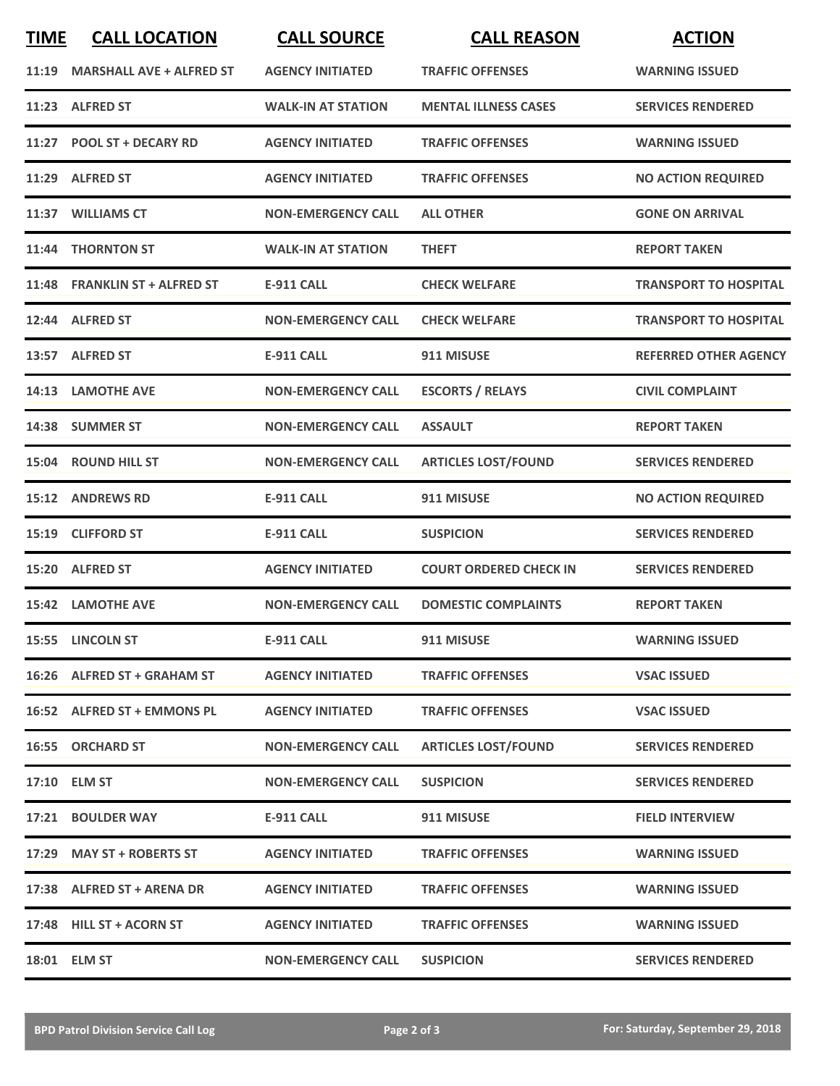| <b>TIME</b> | <b>CALL LOCATION</b>            | <b>CALL SOURCE</b>        | <b>CALL REASON</b>            | <b>ACTION</b>                |
|-------------|---------------------------------|---------------------------|-------------------------------|------------------------------|
| 11:19       | <b>MARSHALL AVE + ALFRED ST</b> | <b>AGENCY INITIATED</b>   | <b>TRAFFIC OFFENSES</b>       | <b>WARNING ISSUED</b>        |
|             | 11:23 ALFRED ST                 | <b>WALK-IN AT STATION</b> | <b>MENTAL ILLNESS CASES</b>   | <b>SERVICES RENDERED</b>     |
|             | 11:27 POOL ST + DECARY RD       | <b>AGENCY INITIATED</b>   | <b>TRAFFIC OFFENSES</b>       | <b>WARNING ISSUED</b>        |
|             | 11:29 ALFRED ST                 | <b>AGENCY INITIATED</b>   | <b>TRAFFIC OFFENSES</b>       | <b>NO ACTION REQUIRED</b>    |
|             | 11:37 WILLIAMS CT               | <b>NON-EMERGENCY CALL</b> | <b>ALL OTHER</b>              | <b>GONE ON ARRIVAL</b>       |
|             | 11:44 THORNTON ST               | <b>WALK-IN AT STATION</b> | <b>THEFT</b>                  | <b>REPORT TAKEN</b>          |
|             | 11:48 FRANKLIN ST + ALFRED ST   | <b>E-911 CALL</b>         | <b>CHECK WELFARE</b>          | <b>TRANSPORT TO HOSPITAL</b> |
|             | 12:44 ALFRED ST                 | <b>NON-EMERGENCY CALL</b> | <b>CHECK WELFARE</b>          | <b>TRANSPORT TO HOSPITAL</b> |
|             | 13:57 ALFRED ST                 | <b>E-911 CALL</b>         | 911 MISUSE                    | <b>REFERRED OTHER AGENCY</b> |
|             | 14:13 LAMOTHE AVE               | <b>NON-EMERGENCY CALL</b> | <b>ESCORTS / RELAYS</b>       | <b>CIVIL COMPLAINT</b>       |
|             | 14:38 SUMMER ST                 | <b>NON-EMERGENCY CALL</b> | <b>ASSAULT</b>                | <b>REPORT TAKEN</b>          |
|             | 15:04 ROUND HILL ST             | <b>NON-EMERGENCY CALL</b> | <b>ARTICLES LOST/FOUND</b>    | <b>SERVICES RENDERED</b>     |
|             | 15:12 ANDREWS RD                | <b>E-911 CALL</b>         | 911 MISUSE                    | <b>NO ACTION REQUIRED</b>    |
| 15:19       | <b>CLIFFORD ST</b>              | <b>E-911 CALL</b>         | <b>SUSPICION</b>              | <b>SERVICES RENDERED</b>     |
|             | 15:20 ALFRED ST                 | <b>AGENCY INITIATED</b>   | <b>COURT ORDERED CHECK IN</b> | <b>SERVICES RENDERED</b>     |
|             | <b>15:42 LAMOTHE AVE</b>        | <b>NON-EMERGENCY CALL</b> | <b>DOMESTIC COMPLAINTS</b>    | <b>REPORT TAKEN</b>          |
|             | 15:55 LINCOLN ST                | <b>E-911 CALL</b>         | 911 MISUSE                    | <b>WARNING ISSUED</b>        |
|             | 16:26 ALFRED ST + GRAHAM ST     | <b>AGENCY INITIATED</b>   | <b>TRAFFIC OFFENSES</b>       | <b>VSAC ISSUED</b>           |
|             | 16:52 ALFRED ST + EMMONS PL     | <b>AGENCY INITIATED</b>   | <b>TRAFFIC OFFENSES</b>       | <b>VSAC ISSUED</b>           |
|             | 16:55 ORCHARD ST                | <b>NON-EMERGENCY CALL</b> | <b>ARTICLES LOST/FOUND</b>    | <b>SERVICES RENDERED</b>     |
|             | 17:10 ELM ST                    | <b>NON-EMERGENCY CALL</b> | <b>SUSPICION</b>              | <b>SERVICES RENDERED</b>     |
|             | 17:21 BOULDER WAY               | E-911 CALL                | 911 MISUSE                    | <b>FIELD INTERVIEW</b>       |
|             | 17:29 MAY ST + ROBERTS ST       | <b>AGENCY INITIATED</b>   | <b>TRAFFIC OFFENSES</b>       | <b>WARNING ISSUED</b>        |
|             | 17:38 ALFRED ST + ARENA DR      | <b>AGENCY INITIATED</b>   | <b>TRAFFIC OFFENSES</b>       | <b>WARNING ISSUED</b>        |
|             | 17:48 HILL ST + ACORN ST        | <b>AGENCY INITIATED</b>   | <b>TRAFFIC OFFENSES</b>       | <b>WARNING ISSUED</b>        |
|             | 18:01 ELM ST                    | <b>NON-EMERGENCY CALL</b> | <b>SUSPICION</b>              | <b>SERVICES RENDERED</b>     |